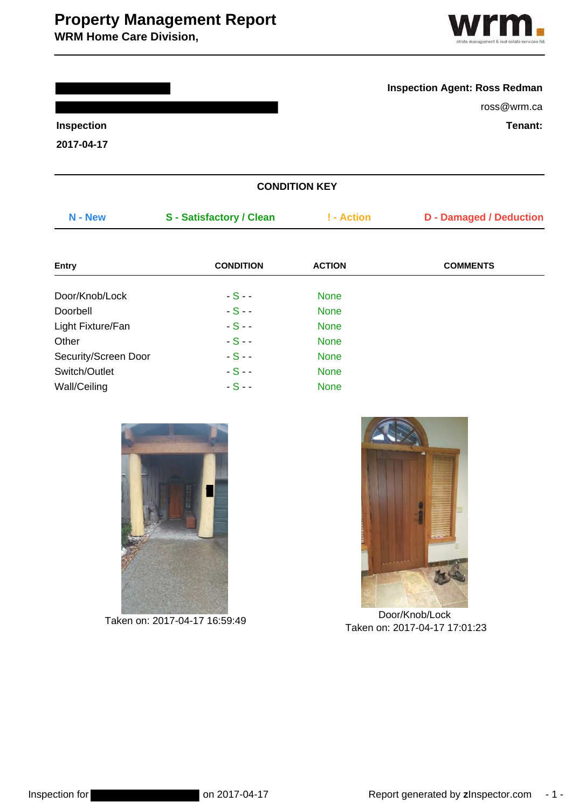# **Property Management Report**

**WRM Home Care Division,**



### **Inspection Agent: Ross Redman**

ross@wrm.ca

**Inspection Tenant:**

**2017-04-17**

| <b>CONDITION KEY</b> |                                 |               |                                |  |
|----------------------|---------------------------------|---------------|--------------------------------|--|
| N - New              | <b>S</b> - Satisfactory / Clean | ! - Action    | <b>D</b> - Damaged / Deduction |  |
| <b>Entry</b>         | <b>CONDITION</b>                | <b>ACTION</b> | <b>COMMENTS</b>                |  |
| Door/Knob/Lock       | $-S -$                          | <b>None</b>   |                                |  |
| Doorbell             | $-S -$                          | <b>None</b>   |                                |  |
| Light Fixture/Fan    | $-S -$                          | <b>None</b>   |                                |  |
| Other                | $-S -$                          | <b>None</b>   |                                |  |
| Security/Screen Door | $-S -$                          | <b>None</b>   |                                |  |
| Switch/Outlet        | $-S -$                          | <b>None</b>   |                                |  |
| Wall/Ceiling         | $-S -$                          | <b>None</b>   |                                |  |





Taken on: 2017-04-17 16:59:49 Door/Knob/Lock Taken on: 2[017-04-](http://zinspector.s3.amazonaws.com/usi/1448/1492475470ab8bb679a9dc48fdaf40d6cc1a7fbec1.JPEG)17 17:01:23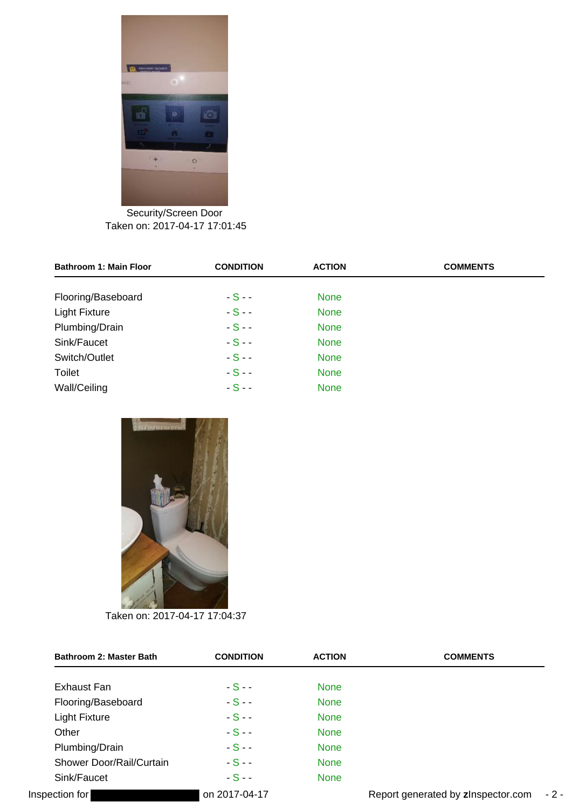

Security/Screen Door Taken on: 2[017-04-](http://zinspector.s3.amazonaws.com/usi/1448/149247547802aeb80ce74e4aeea21087f74a7c5d81.JPEG)17 17:01:45

| <b>Bathroom 1: Main Floor</b> | <b>CONDITION</b> | <b>ACTION</b> | <b>COMMENTS</b> |
|-------------------------------|------------------|---------------|-----------------|
| Flooring/Baseboard            | $-S -$           | <b>None</b>   |                 |
| <b>Light Fixture</b>          | $-S -$           | <b>None</b>   |                 |
| Plumbing/Drain                | $-S -$           | <b>None</b>   |                 |
| Sink/Faucet                   | $-S -$           | <b>None</b>   |                 |
| Switch/Outlet                 | $-S -$           | <b>None</b>   |                 |
| <b>Toilet</b>                 | $-S -$           | <b>None</b>   |                 |
| Wall/Ceiling                  | $-S -$           | <b>None</b>   |                 |



Taken on: 2[017-04-](http://zinspector.s3.amazonaws.com/usi/1448/1492475771070454df8a2f4a269563fc40a0fc864e.JPEG)17 17:04:37

| Bathroom 2: Master Bath  | <b>CONDITION</b> | <b>ACTION</b> | <b>COMMENTS</b>                    |       |
|--------------------------|------------------|---------------|------------------------------------|-------|
| Exhaust Fan              | $-S-$            | <b>None</b>   |                                    |       |
| Flooring/Baseboard       | $-S-$            | <b>None</b>   |                                    |       |
| <b>Light Fixture</b>     | $-S-$            | <b>None</b>   |                                    |       |
| Other                    | $-S-$            | <b>None</b>   |                                    |       |
| Plumbing/Drain           | $-S-$            | <b>None</b>   |                                    |       |
| Shower Door/Rail/Curtain | $-S-$            | <b>None</b>   |                                    |       |
| Sink/Faucet              | $-S -$           | <b>None</b>   |                                    |       |
| Inspection for           | on 2017-04-17    |               | Report generated by zInspector.com | $-2-$ |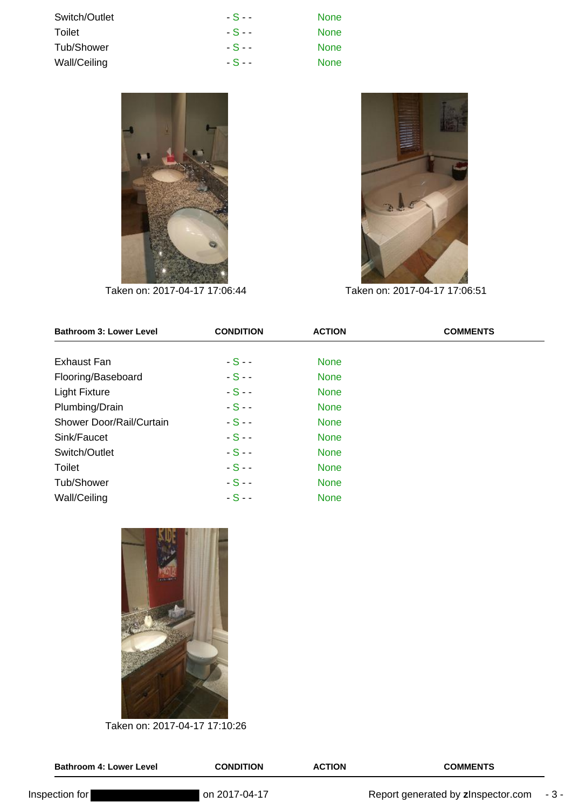| Switch/Outlet | $-S -$ | <b>None</b> |
|---------------|--------|-------------|
| Toilet        | $-S -$ | <b>None</b> |
| Tub/Shower    | $-S -$ | <b>None</b> |
| Wall/Ceiling  | $-S -$ | <b>None</b> |





Taken on: 2[017-04-](http://zinspector.s3.amazonaws.com/usi/1448/14924758092035ce098f5741dfb1f70e5be3a60990.JPEG)17 17:06:44 Taken on: 2[017-04-](http://zinspector.s3.amazonaws.com/usi/1448/1492475819571fabe9c00543a8afa27c5dc3e45ce3.JPEG)17 17:06:51

| <b>Bathroom 3: Lower Level</b> | <b>CONDITION</b> | <b>ACTION</b> | <b>COMMENTS</b> |
|--------------------------------|------------------|---------------|-----------------|
| <b>Exhaust Fan</b>             | $-S-$            | <b>None</b>   |                 |
| Flooring/Baseboard             | $-S -$           | <b>None</b>   |                 |
| <b>Light Fixture</b>           | $-S -$           | <b>None</b>   |                 |
| Plumbing/Drain                 | $-S -$           | <b>None</b>   |                 |
| Shower Door/Rail/Curtain       | $-S -$           | <b>None</b>   |                 |
| Sink/Faucet                    | $-S -$           | <b>None</b>   |                 |
| Switch/Outlet                  | $-S -$           | <b>None</b>   |                 |
| <b>Toilet</b>                  | $-S -$           | <b>None</b>   |                 |
| Tub/Shower                     | $-S -$           | <b>None</b>   |                 |
| Wall/Ceiling                   | $-S -$           | <b>None</b>   |                 |



Taken on: 2[017-04-](http://zinspector.s3.amazonaws.com/usi/1448/1492475866942a45020d9d44b59c827e507a7e3020.JPEG)17 17:10:26

| <b>Bathroom 4: Lower Level</b> | <b>CONDITION</b> | <b>ACTION</b> | <b>COMMENTS</b>                    |       |
|--------------------------------|------------------|---------------|------------------------------------|-------|
| Inspection for                 | l on 2017-04-17  |               | Report generated by zInspector.com | - 3 - |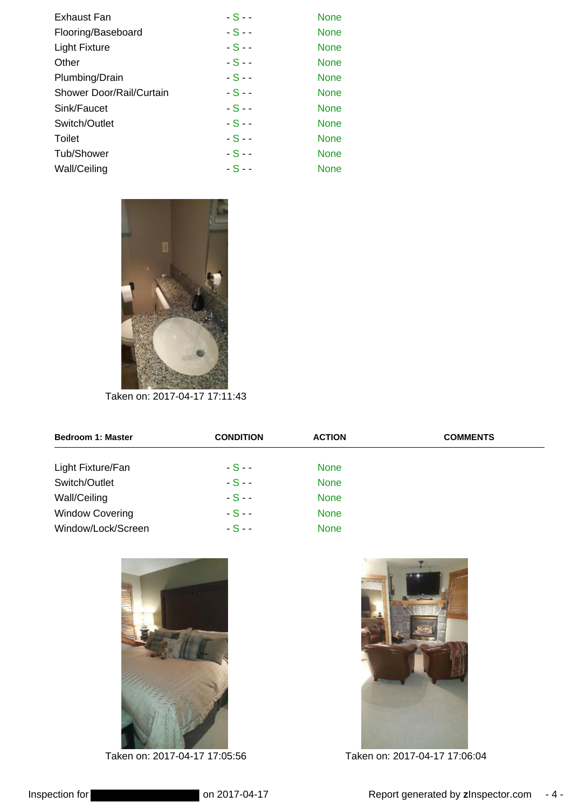| Exhaust Fan              | $-S -$ | <b>None</b> |
|--------------------------|--------|-------------|
| Flooring/Baseboard       | $-S-$  | <b>None</b> |
| <b>Light Fixture</b>     | $-S -$ | <b>None</b> |
| Other                    | $-S -$ | <b>None</b> |
| Plumbing/Drain           | $-S -$ | <b>None</b> |
| Shower Door/Rail/Curtain | $-S -$ | <b>None</b> |
| Sink/Faucet              | $-S-$  | <b>None</b> |
| Switch/Outlet            | $-S -$ | <b>None</b> |
| Toilet                   | $-S-$  | <b>None</b> |
| Tub/Shower               | $-S -$ | <b>None</b> |
| Wall/Ceiling             | $-S -$ | <b>None</b> |



Taken on: 2[017-04-](http://zinspector.s3.amazonaws.com/usi/1448/149247590177c88074dd224398a7c5e347060d47d0.JPEG)17 17:11:43

| <b>Bedroom 1: Master</b> | <b>CONDITION</b> | <b>ACTION</b> | <b>COMMENTS</b> |
|--------------------------|------------------|---------------|-----------------|
| Light Fixture/Fan        | $-S -$           | <b>None</b>   |                 |
| Switch/Outlet            | $-S-$            | <b>None</b>   |                 |
| Wall/Ceiling             | $-S -$           | <b>None</b>   |                 |
| <b>Window Covering</b>   | $-S -$           | <b>None</b>   |                 |
| Window/Lock/Screen       | $-S -$           | <b>None</b>   |                 |



Taken on: 2[017-04-](http://zinspector.s3.amazonaws.com/usi/1448/1492475791fb7bcec5ccb944db9b87787894e0e8fc.JPEG)17 17:05:56 Taken on: 2[017-04-](http://zinspector.s3.amazonaws.com/usi/1448/149247580210398bca04f146829d6aa3431cf823cf.JPEG)17 17:06:04

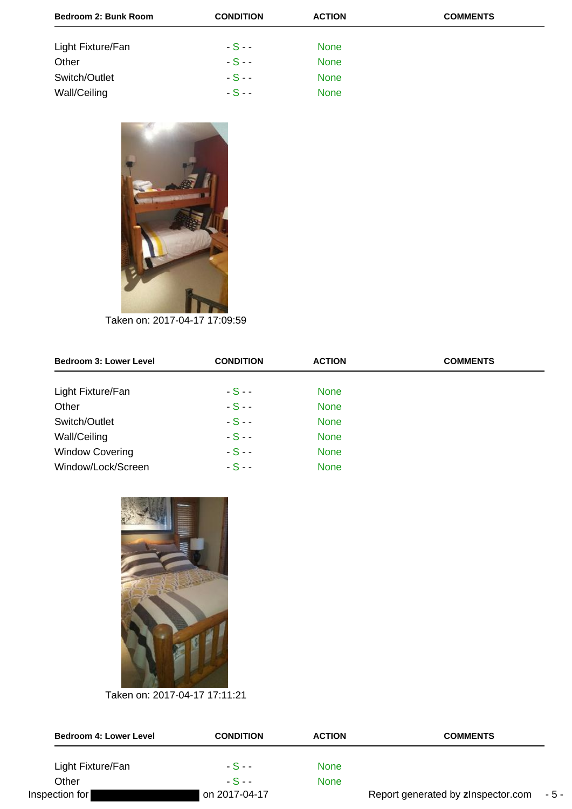| Bedroom 2: Bunk Room | <b>CONDITION</b> | <b>ACTION</b> | <b>COMMENTS</b> |
|----------------------|------------------|---------------|-----------------|
| Light Fixture/Fan    | $-S -$           | <b>None</b>   |                 |
| Other                | $-S -$           | <b>None</b>   |                 |
| Switch/Outlet        | $-S -$           | <b>None</b>   |                 |
| Wall/Ceiling         | $-S -$           | <b>None</b>   |                 |



Taken on: 2[017-04-](http://zinspector.s3.amazonaws.com/usi/1448/149247585170320dacfd7848f6ad5af65e92c18124.JPEG)17 17:09:59

| <b>Bedroom 3: Lower Level</b> | <b>CONDITION</b> | <b>ACTION</b> | <b>COMMENTS</b> |
|-------------------------------|------------------|---------------|-----------------|
| Light Fixture/Fan             | $-S -$           | <b>None</b>   |                 |
| Other                         | $-S -$           | <b>None</b>   |                 |
| Switch/Outlet                 | $-S -$           | <b>None</b>   |                 |
| Wall/Ceiling                  | $-S -$           | <b>None</b>   |                 |
| <b>Window Covering</b>        | $-S -$           | <b>None</b>   |                 |
| Window/Lock/Screen            | $-S -$           | <b>None</b>   |                 |



Taken on: 2[017-04-](http://zinspector.s3.amazonaws.com/usi/1448/1492475887ec4a1be134f24090885f3dfce39892d8.JPEG)17 17:11:21

| <b>Bedroom 4: Lower Level</b> | <b>CONDITION</b> | <b>ACTION</b> | <b>COMMENTS</b>                    |       |
|-------------------------------|------------------|---------------|------------------------------------|-------|
| Light Fixture/Fan             | - S - -          | None          |                                    |       |
| Other                         | $-S-$            | None          |                                    |       |
| Inspection for                | on 2017-04-17    |               | Report generated by zInspector.com | - 5 - |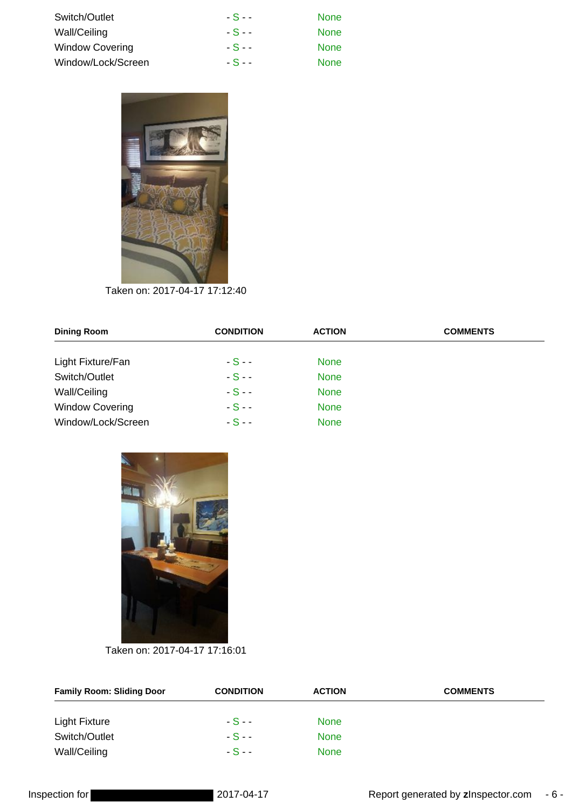| Switch/Outlet          | $-S -$ | <b>None</b> |
|------------------------|--------|-------------|
| Wall/Ceiling           | $-S -$ | <b>None</b> |
| <b>Window Covering</b> | $-S -$ | <b>None</b> |
| Window/Lock/Screen     | $-S-$  | <b>None</b> |



Taken on: 2[017-04-](http://zinspector.s3.amazonaws.com/usi/1448/1492475910eaeca062cb7049c786916bc7d9278201.JPEG)17 17:12:40

| <b>Dining Room</b>     | <b>CONDITION</b> | <b>ACTION</b> | <b>COMMENTS</b> |
|------------------------|------------------|---------------|-----------------|
| Light Fixture/Fan      | $-S -$           | <b>None</b>   |                 |
| Switch/Outlet          | $-S -$           | <b>None</b>   |                 |
| Wall/Ceiling           | $-S -$           | <b>None</b>   |                 |
| <b>Window Covering</b> | $-S -$           | <b>None</b>   |                 |
| Window/Lock/Screen     | $-S-$            | <b>None</b>   |                 |



Taken on: 2[017-04-](http://zinspector.s3.amazonaws.com/usi/1448/14924759336f723992cf104aa6b973fb10a0d9bcd7.JPEG)17 17:16:01

| <b>Family Room: Sliding Door</b> | <b>CONDITION</b> | <b>ACTION</b> | <b>COMMENTS</b> |
|----------------------------------|------------------|---------------|-----------------|
| <b>Light Fixture</b>             | $-S -$           | <b>None</b>   |                 |
| Switch/Outlet                    | $-S -$           | <b>None</b>   |                 |
| Wall/Ceiling                     | $-S - -$         | <b>None</b>   |                 |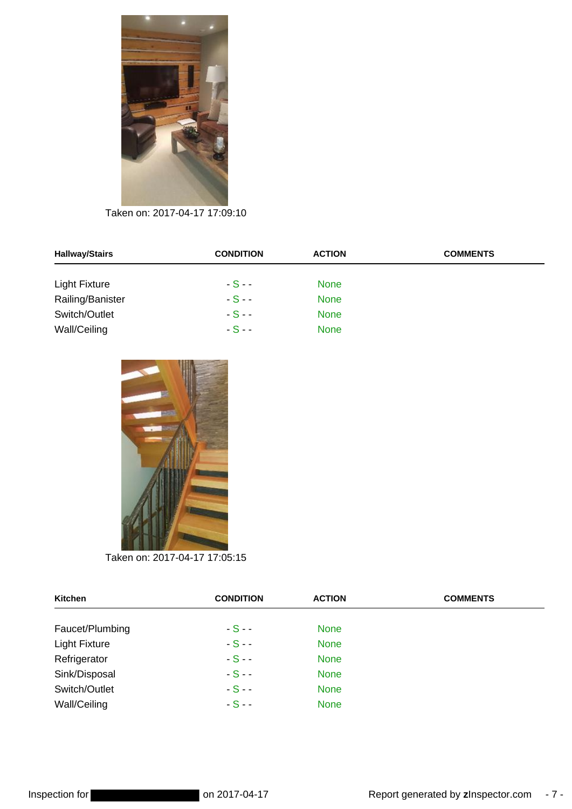

Taken on: 2[017-04-](http://zinspector.s3.amazonaws.com/usi/1448/1492475839ac66f4c79eb442e4a0db8b67e68f0e45.JPEG)17 17:09:10

| <b>Hallway/Stairs</b> | <b>CONDITION</b> | <b>ACTION</b> | <b>COMMENTS</b> |
|-----------------------|------------------|---------------|-----------------|
| <b>Light Fixture</b>  | $-S - -$         | <b>None</b>   |                 |
| Railing/Banister      | $-S-$            | <b>None</b>   |                 |
| Switch/Outlet         | $-S - -$         | <b>None</b>   |                 |
| Wall/Ceiling          | $-S - -$         | <b>None</b>   |                 |



Taken on: 2[017-04-](http://zinspector.s3.amazonaws.com/usi/1448/14924757834b4d8f52a4c94a98a2dc166683d564d1.JPEG)17 17:05:15

| <b>Kitchen</b>       | <b>CONDITION</b> | <b>ACTION</b> | <b>COMMENTS</b> |
|----------------------|------------------|---------------|-----------------|
| Faucet/Plumbing      | $-S -$           | <b>None</b>   |                 |
| <b>Light Fixture</b> | $-S -$           | <b>None</b>   |                 |
| Refrigerator         | $-S -$           | <b>None</b>   |                 |
| Sink/Disposal        | $-S -$           | <b>None</b>   |                 |
| Switch/Outlet        | $-S -$           | <b>None</b>   |                 |
| Wall/Ceiling         | $-S -$           | <b>None</b>   |                 |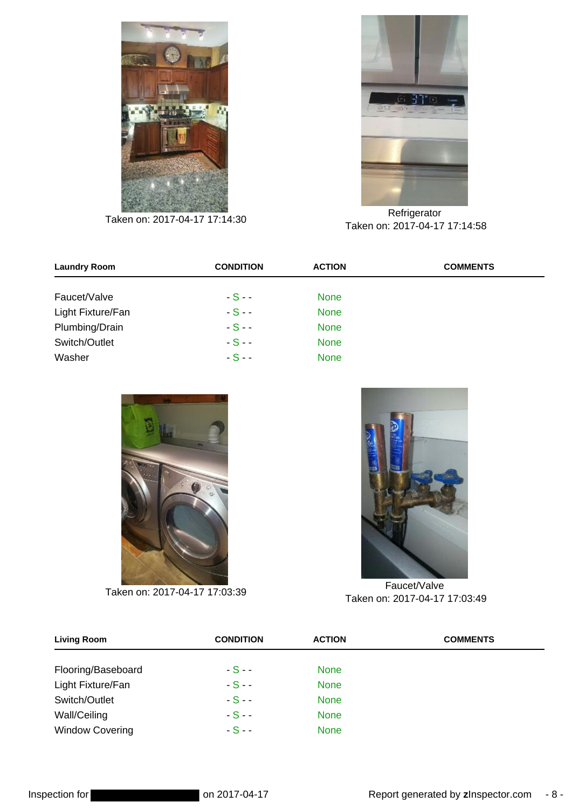



Refrigerator<br>Taken on: 2[017-04-](http://zinspector.s3.amazonaws.com/usi/1448/149247591621f10563ca21446ead65ea754d447c1f.JPEG)17 17:14:30 Refrigerator Taken on: 2[017-04-](http://zinspector.s3.amazonaws.com/usi/1448/1492475504afb3337269204402afb81316200ad192.JPEG)17 17:14:58

| <b>Laundry Room</b> | <b>CONDITION</b> | <b>ACTION</b> | <b>COMMENTS</b> |
|---------------------|------------------|---------------|-----------------|
| Faucet/Valve        | $-S -$           | <b>None</b>   |                 |
| Light Fixture/Fan   | $-S -$           | <b>None</b>   |                 |
| Plumbing/Drain      | $-S -$           | <b>None</b>   |                 |
| Switch/Outlet       | $-S -$           | <b>None</b>   |                 |
| Washer              | $-S -$           | <b>None</b>   |                 |





Taken on: 2[017-04-](http://zinspector.s3.amazonaws.com/usi/1448/149247576512b8e5f8a99d4ed3a80d407bc8c0564c.JPEG)17 17:03:39 Taken on: 2[017-04-](http://zinspector.s3.amazonaws.com/usi/1448/14924754950e0addacda3e4500b096004d88ca52f4.JPEG)17 17:03:49

| <b>Living Room</b>     | <b>CONDITION</b> | <b>ACTION</b> | <b>COMMENTS</b> |
|------------------------|------------------|---------------|-----------------|
| Flooring/Baseboard     | $-S-$            | <b>None</b>   |                 |
| Light Fixture/Fan      | $-S-$            | <b>None</b>   |                 |
| Switch/Outlet          | $-S-$            | <b>None</b>   |                 |
| Wall/Ceiling           | $-S-$            | <b>None</b>   |                 |
| <b>Window Covering</b> | $-S-$            | <b>None</b>   |                 |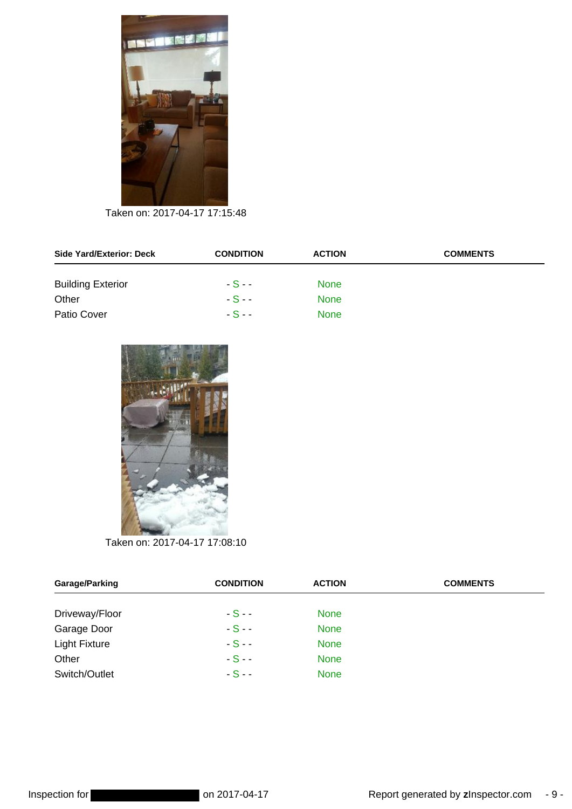

Taken on: 2[017-04-](http://zinspector.s3.amazonaws.com/usi/1448/149247592545022d382811420388e20b545327bf9d.JPEG)17 17:15:48

| <b>Side Yard/Exterior: Deck</b> | <b>CONDITION</b> | <b>ACTION</b> | <b>COMMENTS</b> |
|---------------------------------|------------------|---------------|-----------------|
| <b>Building Exterior</b>        | $-S -$           | <b>None</b>   |                 |
| Other                           | $-S - -$         | <b>None</b>   |                 |
| Patio Cover                     | $-S - -$         | <b>None</b>   |                 |



Taken on: 2[017-04-](http://zinspector.s3.amazonaws.com/usi/1448/1492475832df11185b33474ce898f27df6c417621a.JPEG)17 17:08:10

| Garage/Parking       | <b>CONDITION</b> | <b>ACTION</b> | <b>COMMENTS</b> |
|----------------------|------------------|---------------|-----------------|
| Driveway/Floor       | $-S-$            | <b>None</b>   |                 |
| Garage Door          | $-S-$            | <b>None</b>   |                 |
| <b>Light Fixture</b> | $-S -$           | <b>None</b>   |                 |
| Other                | $-S -$           | <b>None</b>   |                 |
| Switch/Outlet        | $-S-$            | <b>None</b>   |                 |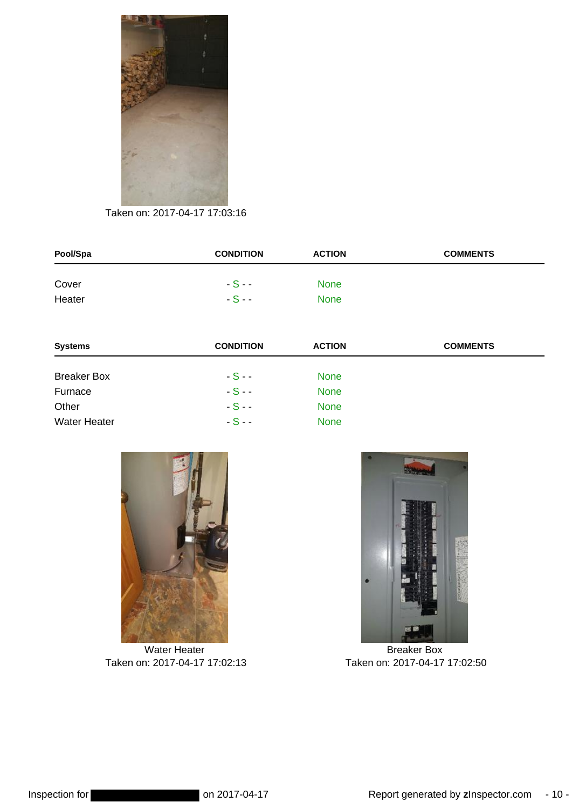

Taken on: 2[017-04-](http://zinspector.s3.amazonaws.com/usi/1448/1492475756e37d7bf8268b4927be6405496635c342.JPEG)17 17:03:16

| Pool/Spa | <b>CONDITION</b> | <b>ACTION</b> | <b>COMMENTS</b> |
|----------|------------------|---------------|-----------------|
| Cover    | $-S - -$         | <b>None</b>   |                 |
| Heater   | $-S -$           | <b>None</b>   |                 |

| <b>Systems</b>      | <b>CONDITION</b> | <b>ACTION</b> | <b>COMMENTS</b> |
|---------------------|------------------|---------------|-----------------|
| <b>Breaker Box</b>  | $-S -$           | <b>None</b>   |                 |
| Furnace             | $-S-$            | <b>None</b>   |                 |
| Other               | $-S-$            | <b>None</b>   |                 |
| <b>Water Heater</b> | $-S-$            | <b>None</b>   |                 |



Water Heater Taken on: 2[017-04-](http://zinspector.s3.amazonaws.com/usi/1448/149247548293d9419761b84505b48ec4fbf870f78d.JPEG)17 17:02:13



Breaker Box Taken on: 2[017-04-](http://zinspector.s3.amazonaws.com/usi/1448/14924754858a70762ea6fe448f9da2cca11a31721a.JPEG)17 17:02:50